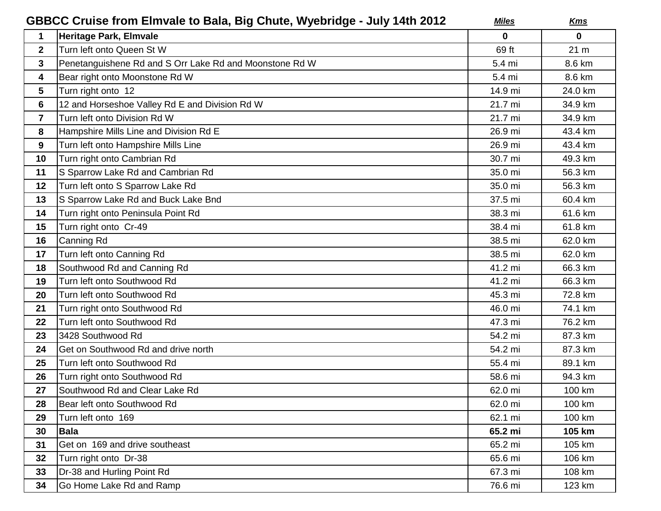| GBBCC Cruise from Elmvale to Bala, Big Chute, Wyebridge - July 14th 2012 |                                                         | <b>Miles</b> | <u>Kms</u>      |
|--------------------------------------------------------------------------|---------------------------------------------------------|--------------|-----------------|
| 1                                                                        | Heritage Park, Elmvale                                  | $\mathbf 0$  | 0               |
| $\mathbf{2}$                                                             | Turn left onto Queen St W                               | 69 ft        | 21 <sub>m</sub> |
| $\mathbf{3}$                                                             | Penetanguishene Rd and S Orr Lake Rd and Moonstone Rd W | 5.4 mi       | 8.6 km          |
| 4                                                                        | Bear right onto Moonstone Rd W                          | 5.4 mi       | 8.6 km          |
| $5\phantom{.0}$                                                          | Turn right onto 12                                      | 14.9 mi      | 24.0 km         |
| 6                                                                        | 12 and Horseshoe Valley Rd E and Division Rd W          | 21.7 mi      | 34.9 km         |
| $\overline{7}$                                                           | Turn left onto Division Rd W                            | 21.7 mi      | 34.9 km         |
| 8                                                                        | Hampshire Mills Line and Division Rd E                  | 26.9 mi      | 43.4 km         |
| 9                                                                        | Turn left onto Hampshire Mills Line                     | 26.9 mi      | 43.4 km         |
| 10                                                                       | Turn right onto Cambrian Rd                             | 30.7 mi      | 49.3 km         |
| 11                                                                       | S Sparrow Lake Rd and Cambrian Rd                       | 35.0 mi      | 56.3 km         |
| 12                                                                       | Turn left onto S Sparrow Lake Rd                        | 35.0 mi      | 56.3 km         |
| 13                                                                       | S Sparrow Lake Rd and Buck Lake Bnd                     | 37.5 mi      | 60.4 km         |
| 14                                                                       | Turn right onto Peninsula Point Rd                      | 38.3 mi      | 61.6 km         |
| 15                                                                       | Turn right onto Cr-49                                   | 38.4 mi      | 61.8 km         |
| 16                                                                       | Canning Rd                                              | 38.5 mi      | 62.0 km         |
| 17                                                                       | Turn left onto Canning Rd                               | 38.5 mi      | 62.0 km         |
| 18                                                                       | Southwood Rd and Canning Rd                             | 41.2 mi      | 66.3 km         |
| 19                                                                       | Turn left onto Southwood Rd                             | 41.2 mi      | 66.3 km         |
| 20                                                                       | Turn left onto Southwood Rd                             | 45.3 mi      | 72.8 km         |
| 21                                                                       | Turn right onto Southwood Rd                            | 46.0 mi      | 74.1 km         |
| 22                                                                       | Turn left onto Southwood Rd                             | 47.3 mi      | 76.2 km         |
| 23                                                                       | 3428 Southwood Rd                                       | 54.2 mi      | 87.3 km         |
| 24                                                                       | Get on Southwood Rd and drive north                     | 54.2 mi      | 87.3 km         |
| 25                                                                       | Turn left onto Southwood Rd                             | 55.4 mi      | 89.1 km         |
| 26                                                                       | Turn right onto Southwood Rd                            | 58.6 mi      | 94.3 km         |
| 27                                                                       | Southwood Rd and Clear Lake Rd                          | 62.0 mi      | 100 km          |
| 28                                                                       | Bear left onto Southwood Rd                             | 62.0 mi      | 100 km          |
| 29                                                                       | Turn left onto 169                                      | 62.1 mi      | 100 km          |
| 30                                                                       | <b>Bala</b>                                             | 65.2 mi      | 105 km          |
| 31                                                                       | Get on 169 and drive southeast                          | 65.2 mi      | 105 km          |
| 32                                                                       | Turn right onto Dr-38                                   | 65.6 mi      | 106 km          |
| 33                                                                       | Dr-38 and Hurling Point Rd                              | 67.3 mi      | 108 km          |
| 34                                                                       | Go Home Lake Rd and Ramp                                | 76.6 mi      | 123 km          |